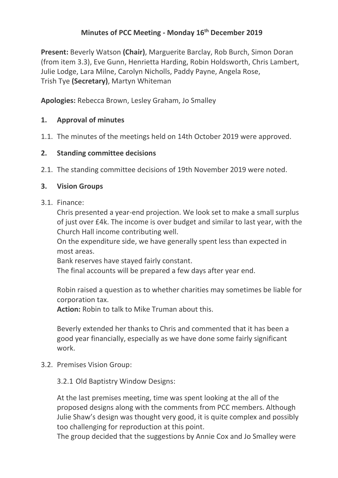# **Minutes of PCC Meeting - Monday 16th December 2019**

**Present:** Beverly Watson **(Chair)**, Marguerite Barclay, Rob Burch, Simon Doran (from item 3.3), Eve Gunn, Henrietta Harding, Robin Holdsworth, Chris Lambert, Julie Lodge, Lara Milne, Carolyn Nicholls, Paddy Payne, Angela Rose, Trish Tye **(Secretary)**, Martyn Whiteman

**Apologies:** Rebecca Brown, Lesley Graham, Jo Smalley

### **1. Approval of minutes**

1.1. The minutes of the meetings held on 14th October 2019 were approved.

### **2. Standing committee decisions**

2.1. The standing committee decisions of 19th November 2019 were noted.

### **3. Vision Groups**

#### 3.1. Finance:

Chris presented a year-end projection. We look set to make a small surplus of just over £4k. The income is over budget and similar to last year, with the Church Hall income contributing well.

On the expenditure side, we have generally spent less than expected in most areas.

Bank reserves have stayed fairly constant.

The final accounts will be prepared a few days after year end.

Robin raised a question as to whether charities may sometimes be liable for corporation tax.

**Action:** Robin to talk to Mike Truman about this.

Beverly extended her thanks to Chris and commented that it has been a good year financially, especially as we have done some fairly significant work.

### 3.2. Premises Vision Group:

3.2.1 Old Baptistry Window Designs:

At the last premises meeting, time was spent looking at the all of the proposed designs along with the comments from PCC members. Although Julie Shaw's design was thought very good, it is quite complex and possibly too challenging for reproduction at this point.

The group decided that the suggestions by Annie Cox and Jo Smalley were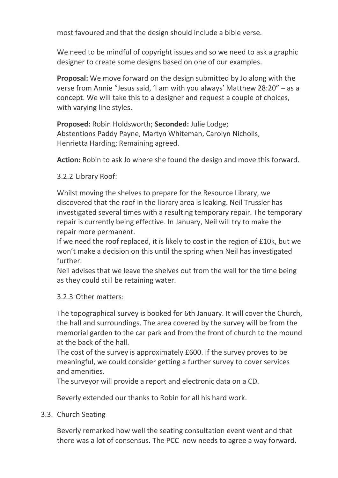most favoured and that the design should include a bible verse.

We need to be mindful of copyright issues and so we need to ask a graphic designer to create some designs based on one of our examples.

**Proposal:** We move forward on the design submitted by Jo along with the verse from Annie "Jesus said, 'I am with you always' Matthew 28:20" – as a concept. We will take this to a designer and request a couple of choices, with varying line styles.

**Proposed:** Robin Holdsworth; **Seconded:** Julie Lodge; Abstentions Paddy Payne, Martyn Whiteman, Carolyn Nicholls, Henrietta Harding; Remaining agreed.

**Action:** Robin to ask Jo where she found the design and move this forward.

3.2.2 Library Roof:

Whilst moving the shelves to prepare for the Resource Library, we discovered that the roof in the library area is leaking. Neil Trussler has investigated several times with a resulting temporary repair. The temporary repair is currently being effective. In January, Neil will try to make the repair more permanent.

If we need the roof replaced, it is likely to cost in the region of £10k, but we won't make a decision on this until the spring when Neil has investigated further.

Neil advises that we leave the shelves out from the wall for the time being as they could still be retaining water.

### 3.2.3 Other matters:

The topographical survey is booked for 6th January. It will cover the Church, the hall and surroundings. The area covered by the survey will be from the memorial garden to the car park and from the front of church to the mound at the back of the hall.

The cost of the survey is approximately £600. If the survey proves to be meaningful, we could consider getting a further survey to cover services and amenities.

The surveyor will provide a report and electronic data on a CD.

Beverly extended our thanks to Robin for all his hard work.

# 3.3. Church Seating

Beverly remarked how well the seating consultation event went and that there was a lot of consensus. The PCC now needs to agree a way forward.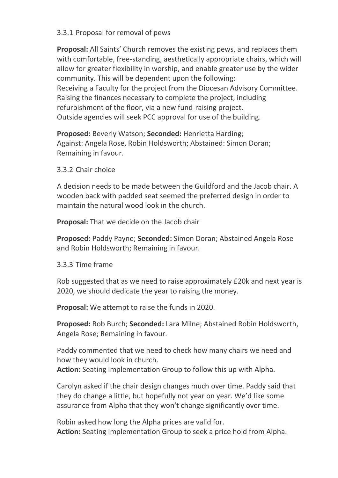### 3.3.1 Proposal for removal of pews

**Proposal:** All Saints' Church removes the existing pews, and replaces them with comfortable, free-standing, aesthetically appropriate chairs, which will allow for greater flexibility in worship, and enable greater use by the wider community. This will be dependent upon the following: Receiving a Faculty for the project from the Diocesan Advisory Committee. Raising the finances necessary to complete the project, including refurbishment of the floor, via a new fund-raising project. Outside agencies will seek PCC approval for use of the building.

**Proposed:** Beverly Watson; **Seconded:** Henrietta Harding; Against: Angela Rose, Robin Holdsworth; Abstained: Simon Doran; Remaining in favour.

3.3.2 Chair choice

A decision needs to be made between the Guildford and the Jacob chair. A wooden back with padded seat seemed the preferred design in order to maintain the natural wood look in the church.

**Proposal:** That we decide on the Jacob chair

**Proposed:** Paddy Payne; **Seconded:** Simon Doran; Abstained Angela Rose and Robin Holdsworth; Remaining in favour.

3.3.3 Time frame

Rob suggested that as we need to raise approximately £20k and next year is 2020, we should dedicate the year to raising the money.

**Proposal:** We attempt to raise the funds in 2020.

**Proposed:** Rob Burch; **Seconded:** Lara Milne; Abstained Robin Holdsworth, Angela Rose; Remaining in favour.

Paddy commented that we need to check how many chairs we need and how they would look in church. **Action:** Seating Implementation Group to follow this up with Alpha.

Carolyn asked if the chair design changes much over time. Paddy said that they do change a little, but hopefully not year on year. We'd like some assurance from Alpha that they won't change significantly over time.

Robin asked how long the Alpha prices are valid for. **Action:** Seating Implementation Group to seek a price hold from Alpha.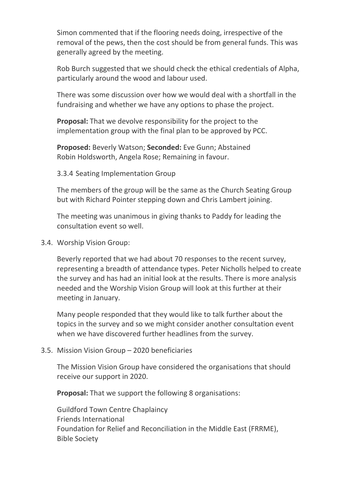Simon commented that if the flooring needs doing, irrespective of the removal of the pews, then the cost should be from general funds. This was generally agreed by the meeting.

Rob Burch suggested that we should check the ethical credentials of Alpha, particularly around the wood and labour used.

There was some discussion over how we would deal with a shortfall in the fundraising and whether we have any options to phase the project.

**Proposal:** That we devolve responsibility for the project to the implementation group with the final plan to be approved by PCC.

**Proposed:** Beverly Watson; **Seconded:** Eve Gunn; Abstained Robin Holdsworth, Angela Rose; Remaining in favour.

3.3.4 Seating Implementation Group

The members of the group will be the same as the Church Seating Group but with Richard Pointer stepping down and Chris Lambert joining.

The meeting was unanimous in giving thanks to Paddy for leading the consultation event so well.

3.4. Worship Vision Group:

Beverly reported that we had about 70 responses to the recent survey, representing a breadth of attendance types. Peter Nicholls helped to create the survey and has had an initial look at the results. There is more analysis needed and the Worship Vision Group will look at this further at their meeting in January.

Many people responded that they would like to talk further about the topics in the survey and so we might consider another consultation event when we have discovered further headlines from the survey.

# 3.5. Mission Vision Group – 2020 beneficiaries

The Mission Vision Group have considered the organisations that should receive our support in 2020.

**Proposal:** That we support the following 8 organisations:

Guildford Town Centre Chaplaincy Friends International Foundation for Relief and Reconciliation in the Middle East (FRRME), Bible Society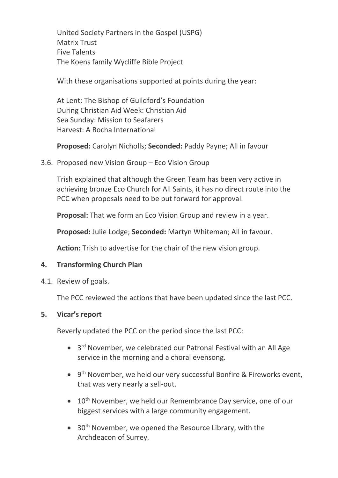United Society Partners in the Gospel (USPG) Matrix Trust Five Talents The Koens family Wycliffe Bible Project

With these organisations supported at points during the year:

At Lent: The Bishop of Guildford's Foundation During Christian Aid Week: Christian Aid Sea Sunday: Mission to Seafarers Harvest: A Rocha International

**Proposed:** Carolyn Nicholls; **Seconded:** Paddy Payne; All in favour

### 3.6. Proposed new Vision Group – Eco Vision Group

Trish explained that although the Green Team has been very active in achieving bronze Eco Church for All Saints, it has no direct route into the PCC when proposals need to be put forward for approval.

**Proposal:** That we form an Eco Vision Group and review in a year.

**Proposed:** Julie Lodge; **Seconded:** Martyn Whiteman; All in favour.

**Action:** Trish to advertise for the chair of the new vision group.

# **4. Transforming Church Plan**

4.1. Review of goals.

The PCC reviewed the actions that have been updated since the last PCC.

### **5. Vicar's report**

Beverly updated the PCC on the period since the last PCC:

- 3<sup>rd</sup> November, we celebrated our Patronal Festival with an All Age service in the morning and a choral evensong.
- 9<sup>th</sup> November, we held our very successful Bonfire & Fireworks event, that was very nearly a sell-out.
- $\bullet$  10<sup>th</sup> November, we held our Remembrance Day service, one of our biggest services with a large community engagement.
- $\bullet$  30<sup>th</sup> November, we opened the Resource Library, with the Archdeacon of Surrey.